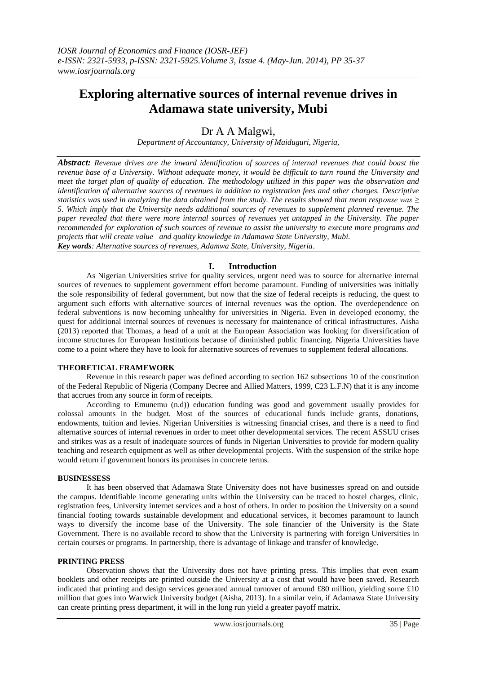# **Exploring alternative sources of internal revenue drives in Adamawa state university, Mubi**

# Dr A A Malgwi,

*Department of Accountancy, University of Maiduguri, Nigeria,*

*Abstract: Revenue drives are the inward identification of sources of internal revenues that could boast the revenue base of a University. Without adequate money, it would be difficult to turn round the University and meet the target plan of quality of education. The methodology utilized in this paper was the observation and identification of alternative sources of revenues in addition to registration fees and other charges. Descriptive statistics was used in analyzing the data obtained from the study. The results showed that mean response was ≥ 5. Which imply that the University needs additional sources of revenues to supplement planned revenue. The paper revealed that there were more internal sources of revenues yet untapped in the University. The paper recommended for exploration of such sources of revenue to assist the university to execute more programs and projects that will create value and quality knowledge in Adamawa State University, Mubi. Key words: Alternative sources of revenues, Adamwa State, University, Nigeria*.

## **I. Introduction**

As Nigerian Universities strive for quality services, urgent need was to source for alternative internal sources of revenues to supplement government effort become paramount. Funding of universities was initially the sole responsibility of federal government, but now that the size of federal receipts is reducing, the quest to argument such efforts with alternative sources of internal revenues was the option. The overdependence on federal subventions is now becoming unhealthy for universities in Nigeria. Even in developed economy, the quest for additional internal sources of revenues is necessary for maintenance of critical infrastructures. Aisha (2013) reported that Thomas, a head of a unit at the European Association was looking for diversification of income structures for European Institutions because of diminished public financing. Nigeria Universities have come to a point where they have to look for alternative sources of revenues to supplement federal allocations.

#### **THEORETICAL FRAMEWORK**

Revenue in this research paper was defined according to section 162 subsections 10 of the constitution of the Federal Republic of Nigeria (Company Decree and Allied Matters, 1999, C23 L.F.N) that it is any income that accrues from any source in form of receipts.

According to Emunemu (n.d)) education funding was good and government usually provides for colossal amounts in the budget. Most of the sources of educational funds include grants, donations, endowments, tuition and levies. Nigerian Universities is witnessing financial crises, and there is a need to find alternative sources of internal revenues in order to meet other developmental services. The recent ASSUU crises and strikes was as a result of inadequate sources of funds in Nigerian Universities to provide for modern quality teaching and research equipment as well as other developmental projects. With the suspension of the strike hope would return if government honors its promises in concrete terms.

#### **BUSINESSESS**

It has been observed that Adamawa State University does not have businesses spread on and outside the campus. Identifiable income generating units within the University can be traced to hostel charges, clinic, registration fees, University internet services and a host of others. In order to position the University on a sound financial footing towards sustainable development and educational services, it becomes paramount to launch ways to diversify the income base of the University. The sole financier of the University is the State Government. There is no available record to show that the University is partnering with foreign Universities in certain courses or programs. In partnership, there is advantage of linkage and transfer of knowledge.

#### **PRINTING PRESS**

Observation shows that the University does not have printing press. This implies that even exam booklets and other receipts are printed outside the University at a cost that would have been saved. Research indicated that printing and design services generated annual turnover of around £80 million, yielding some £10 million that goes into Warwick University budget (Aisha, 2013). In a similar vein, if Adamawa State University can create printing press department, it will in the long run yield a greater payoff matrix.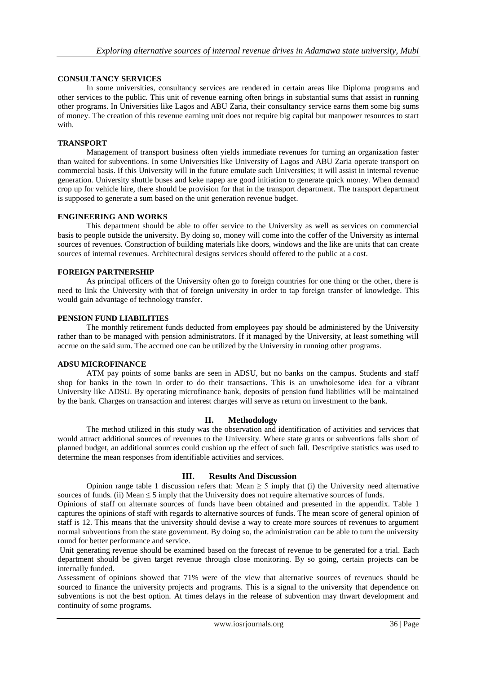## **CONSULTANCY SERVICES**

In some universities, consultancy services are rendered in certain areas like Diploma programs and other services to the public. This unit of revenue earning often brings in substantial sums that assist in running other programs. In Universities like Lagos and ABU Zaria, their consultancy service earns them some big sums of money. The creation of this revenue earning unit does not require big capital but manpower resources to start with.

#### **TRANSPORT**

Management of transport business often yields immediate revenues for turning an organization faster than waited for subventions. In some Universities like University of Lagos and ABU Zaria operate transport on commercial basis. If this University will in the future emulate such Universities; it will assist in internal revenue generation. University shuttle buses and keke napep are good initiation to generate quick money. When demand crop up for vehicle hire, there should be provision for that in the transport department. The transport department is supposed to generate a sum based on the unit generation revenue budget.

#### **ENGINEERING AND WORKS**

This department should be able to offer service to the University as well as services on commercial basis to people outside the university. By doing so, money will come into the coffer of the University as internal sources of revenues. Construction of building materials like doors, windows and the like are units that can create sources of internal revenues. Architectural designs services should offered to the public at a cost.

#### **FOREIGN PARTNERSHIP**

As principal officers of the University often go to foreign countries for one thing or the other, there is need to link the University with that of foreign university in order to tap foreign transfer of knowledge. This would gain advantage of technology transfer.

#### **PENSION FUND LIABILITIES**

The monthly retirement funds deducted from employees pay should be administered by the University rather than to be managed with pension administrators. If it managed by the University, at least something will accrue on the said sum. The accrued one can be utilized by the University in running other programs.

#### **ADSU MICROFINANCE**

ATM pay points of some banks are seen in ADSU, but no banks on the campus. Students and staff shop for banks in the town in order to do their transactions. This is an unwholesome idea for a vibrant University like ADSU. By operating microfinance bank, deposits of pension fund liabilities will be maintained by the bank. Charges on transaction and interest charges will serve as return on investment to the bank.

#### **II. Methodology**

The method utilized in this study was the observation and identification of activities and services that would attract additional sources of revenues to the University. Where state grants or subventions falls short of planned budget, an additional sources could cushion up the effect of such fall. Descriptive statistics was used to determine the mean responses from identifiable activities and services.

## **III. Results And Discussion**

Opinion range table 1 discussion refers that: Mean  $\geq$  5 imply that (i) the University need alternative sources of funds. (ii) Mean  $\leq$  5 imply that the University does not require alternative sources of funds.

Opinions of staff on alternate sources of funds have been obtained and presented in the appendix. Table 1 captures the opinions of staff with regards to alternative sources of funds. The mean score of general opinion of staff is 12. This means that the university should devise a way to create more sources of revenues to argument normal subventions from the state government. By doing so, the administration can be able to turn the university round for better performance and service.

Unit generating revenue should be examined based on the forecast of revenue to be generated for a trial. Each department should be given target revenue through close monitoring. By so going, certain projects can be internally funded.

Assessment of opinions showed that 71% were of the view that alternative sources of revenues should be sourced to finance the university projects and programs. This is a signal to the university that dependence on subventions is not the best option. At times delays in the release of subvention may thwart development and continuity of some programs.